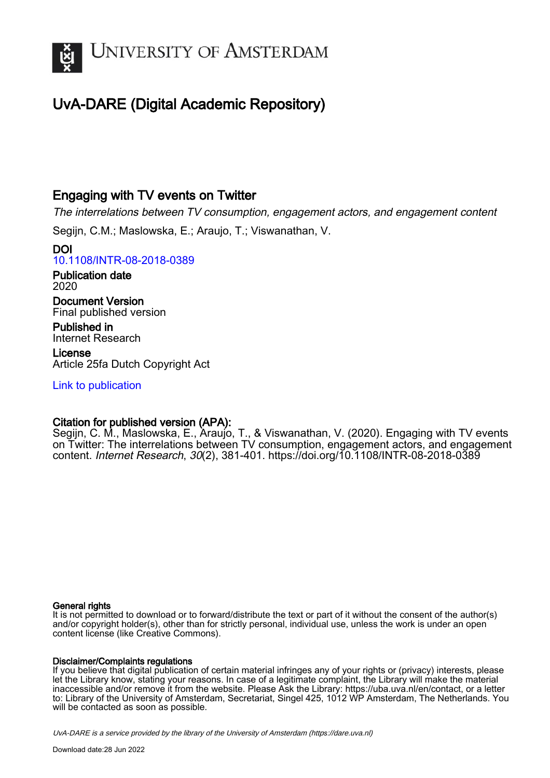

# UvA-DARE (Digital Academic Repository)

## Engaging with TV events on Twitter

The interrelations between TV consumption, engagement actors, and engagement content

Segijn, C.M.; Maslowska, E.; Araujo, T.; Viswanathan, V.

DOI [10.1108/INTR-08-2018-0389](https://doi.org/10.1108/INTR-08-2018-0389)

Publication date 2020

Document Version Final published version

Published in Internet Research

License Article 25fa Dutch Copyright Act

[Link to publication](https://dare.uva.nl/personal/pure/en/publications/engaging-with-tv-events-on-twitter(c867ef9e-0712-41fd-9eaf-039822da8eb7).html)

## Citation for published version (APA):

Segijn, C. M., Maslowska, E., Araujo, T., & Viswanathan, V. (2020). Engaging with TV events on Twitter: The interrelations between TV consumption, engagement actors, and engagement content. Internet Research, 30(2), 381-401.<https://doi.org/10.1108/INTR-08-2018-0389>

### General rights

It is not permitted to download or to forward/distribute the text or part of it without the consent of the author(s) and/or copyright holder(s), other than for strictly personal, individual use, unless the work is under an open content license (like Creative Commons).

## Disclaimer/Complaints regulations

If you believe that digital publication of certain material infringes any of your rights or (privacy) interests, please let the Library know, stating your reasons. In case of a legitimate complaint, the Library will make the material inaccessible and/or remove it from the website. Please Ask the Library: https://uba.uva.nl/en/contact, or a letter to: Library of the University of Amsterdam, Secretariat, Singel 425, 1012 WP Amsterdam, The Netherlands. You will be contacted as soon as possible.

UvA-DARE is a service provided by the library of the University of Amsterdam (http*s*://dare.uva.nl)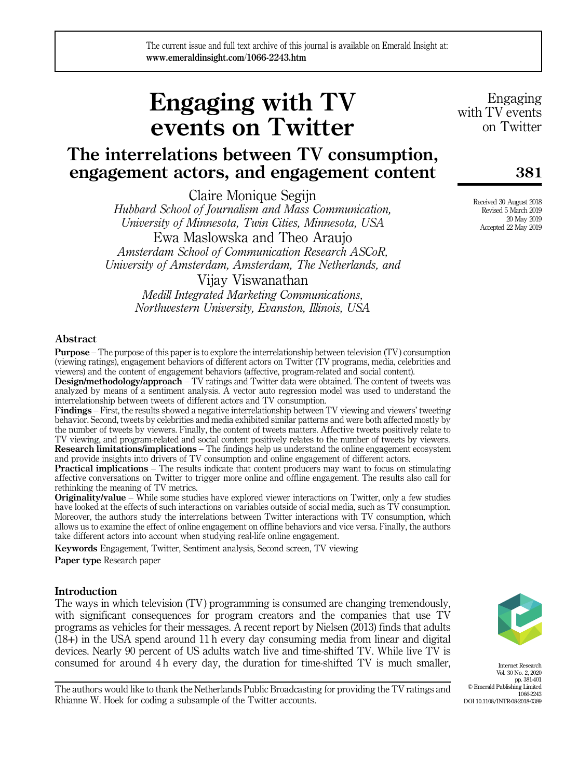# Engaging with TV events on Twitter

# The interrelations between TV consumption, engagement actors, and engagement content

Claire Monique Segijn

Hubbard School of Journalism and Mass Communication, University of Minnesota, Twin Cities, Minnesota, USA Ewa Maslowska and Theo Araujo Amsterdam School of Communication Research ASCoR, University of Amsterdam, Amsterdam, The Netherlands, and

Vijay Viswanathan

Medill Integrated Marketing Communications, Northwestern University, Evanston, Illinois, USA

#### Abstract

Purpose – The purpose of this paper is to explore the interrelationship between television (TV) consumption (viewing ratings), engagement behaviors of different actors on Twitter (TV programs, media, celebrities and viewers) and the content of engagement behaviors (affective, program-related and social content).

Design/methodology/approach – TV ratings and Twitter data were obtained. The content of tweets was analyzed by means of a sentiment analysis. A vector auto regression model was used to understand the interrelationship between tweets of different actors and TV consumption.

Findings – First, the results showed a negative interrelationship between TV viewing and viewers' tweeting behavior. Second, tweets by celebrities and media exhibited similar patterns and were both affected mostly by the number of tweets by viewers. Finally, the content of tweets matters. Affective tweets positively relate to TV viewing, and program-related and social content positively relates to the number of tweets by viewers. Research limitations/implications – The findings help us understand the online engagement ecosystem and provide insights into drivers of TV consumption and online engagement of different actors.

**Practical implications** – The results indicate that content producers may want to focus on stimulating affective conversations on Twitter to trigger more online and offline engagement. The results also call for rethinking the meaning of TV metrics.

**Originality/value** – While some studies have explored viewer interactions on Twitter, only a few studies have looked at the effects of such interactions on variables outside of social media, such as TV consumption. Moreover, the authors study the interrelations between Twitter interactions with TV consumption, which allows us to examine the effect of online engagement on offline behaviors and vice versa. Finally, the authors take different actors into account when studying real-life online engagement.

Keywords Engagement, Twitter, Sentiment analysis, Second screen, TV viewing Paper type Research paper

#### Introduction

The ways in which television (TV) programming is consumed are changing tremendously, with significant consequences for program creators and the companies that use TV programs as vehicles for their messages. A recent report by Nielsen (2013) finds that adults (18+) in the USA spend around 11 h every day consuming media from linear and digital devices. Nearly 90 percent of US adults watch live and time-shifted TV. While live TV is consumed for around 4 h every day, the duration for time-shifted TV is much smaller,

Internet Research Vol. 30 No. 2, 2020 pp. 381-401 © Emerald Publishing Limited 1066-2243 DOI 10.1108/INTR-08-2018-0389

The authors would like to thank the Netherlands Public Broadcasting for providing the TV ratings and Rhianne W. Hoek for coding a subsample of the Twitter accounts.

Engaging with TV events on Twitter

**381**

Received 30 August 2018 Revised 5 March 2019 20 May 2019 Accepted 22 May 2019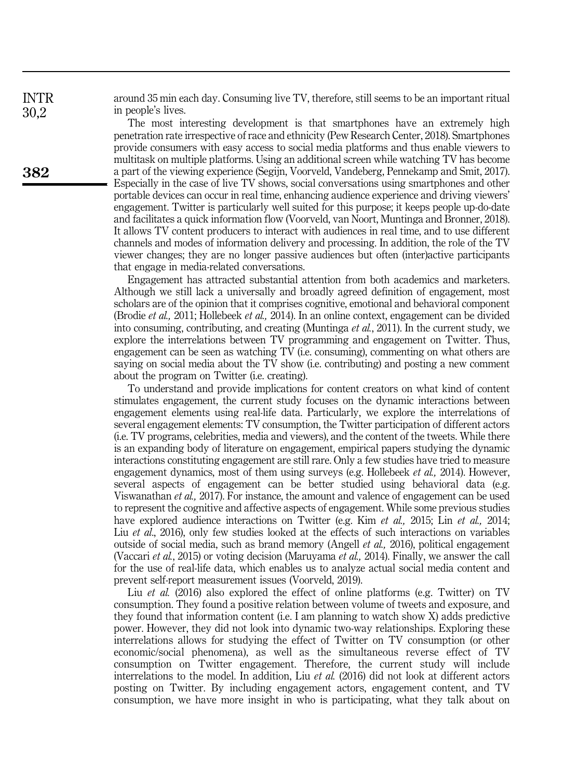around 35 min each day. Consuming live TV, therefore, still seems to be an important ritual in people's lives.

The most interesting development is that smartphones have an extremely high penetration rate irrespective of race and ethnicity (Pew Research Center, 2018). Smartphones provide consumers with easy access to social media platforms and thus enable viewers to multitask on multiple platforms. Using an additional screen while watching TV has become a part of the viewing experience (Segijn, Voorveld, Vandeberg, Pennekamp and Smit, 2017). Especially in the case of live TV shows, social conversations using smartphones and other portable devices can occur in real time, enhancing audience experience and driving viewers' engagement. Twitter is particularly well suited for this purpose; it keeps people up-do-date and facilitates a quick information flow (Voorveld, van Noort, Muntinga and Bronner, 2018). It allows TV content producers to interact with audiences in real time, and to use different channels and modes of information delivery and processing. In addition, the role of the TV viewer changes; they are no longer passive audiences but often (inter)active participants that engage in media-related conversations.

Engagement has attracted substantial attention from both academics and marketers. Although we still lack a universally and broadly agreed definition of engagement, most scholars are of the opinion that it comprises cognitive, emotional and behavioral component (Brodie et al., 2011; Hollebeek et al., 2014). In an online context, engagement can be divided into consuming, contributing, and creating (Muntinga *et al.*, 2011). In the current study, we explore the interrelations between TV programming and engagement on Twitter. Thus, engagement can be seen as watching TV (i.e. consuming), commenting on what others are saying on social media about the TV show (i.e. contributing) and posting a new comment about the program on Twitter (i.e. creating).

To understand and provide implications for content creators on what kind of content stimulates engagement, the current study focuses on the dynamic interactions between engagement elements using real-life data. Particularly, we explore the interrelations of several engagement elements: TV consumption, the Twitter participation of different actors (i.e. TV programs, celebrities, media and viewers), and the content of the tweets. While there is an expanding body of literature on engagement, empirical papers studying the dynamic interactions constituting engagement are still rare. Only a few studies have tried to measure engagement dynamics, most of them using surveys (e.g. Hollebeek *et al.*, 2014). However, several aspects of engagement can be better studied using behavioral data (e.g. Viswanathan et al., 2017). For instance, the amount and valence of engagement can be used to represent the cognitive and affective aspects of engagement. While some previous studies have explored audience interactions on Twitter (e.g. Kim *et al.*, 2015; Lin *et al.*, 2014; Liu *et al.*, 2016), only few studies looked at the effects of such interactions on variables outside of social media, such as brand memory (Angell et al., 2016), political engagement (Vaccari et al., 2015) or voting decision (Maruyama et al., 2014). Finally, we answer the call for the use of real-life data, which enables us to analyze actual social media content and prevent self-report measurement issues (Voorveld, 2019).

Liu et al. (2016) also explored the effect of online platforms (e.g. Twitter) on TV consumption. They found a positive relation between volume of tweets and exposure, and they found that information content (i.e. I am planning to watch show X) adds predictive power. However, they did not look into dynamic two-way relationships. Exploring these interrelations allows for studying the effect of Twitter on TV consumption (or other economic/social phenomena), as well as the simultaneous reverse effect of TV consumption on Twitter engagement. Therefore, the current study will include interrelations to the model. In addition, Liu et al. (2016) did not look at different actors posting on Twitter. By including engagement actors, engagement content, and TV consumption, we have more insight in who is participating, what they talk about on

30,2

**382**

INTR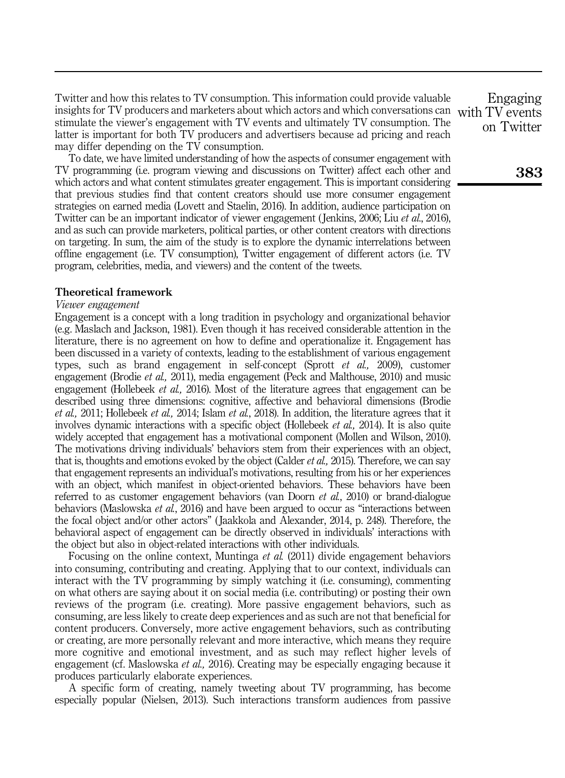Twitter and how this relates to TV consumption. This information could provide valuable insights for TV producers and marketers about which actors and which conversations can with TV events stimulate the viewer's engagement with TV events and ultimately TV consumption. The latter is important for both TV producers and advertisers because ad pricing and reach may differ depending on the TV consumption.

To date, we have limited understanding of how the aspects of consumer engagement with TV programming (i.e. program viewing and discussions on Twitter) affect each other and which actors and what content stimulates greater engagement. This is important considering that previous studies find that content creators should use more consumer engagement strategies on earned media (Lovett and Staelin, 2016). In addition, audience participation on Twitter can be an important indicator of viewer engagement (Jenkins, 2006; Liu et al., 2016), and as such can provide marketers, political parties, or other content creators with directions on targeting. In sum, the aim of the study is to explore the dynamic interrelations between offline engagement (i.e. TV consumption), Twitter engagement of different actors (i.e. TV program, celebrities, media, and viewers) and the content of the tweets.

#### Theoretical framework

#### Viewer engagement

Engagement is a concept with a long tradition in psychology and organizational behavior (e.g. Maslach and Jackson, 1981). Even though it has received considerable attention in the literature, there is no agreement on how to define and operationalize it. Engagement has been discussed in a variety of contexts, leading to the establishment of various engagement types, such as brand engagement in self-concept (Sprott et al., 2009), customer engagement (Brodie et al., 2011), media engagement (Peck and Malthouse, 2010) and music engagement (Hollebeek *et al.*, 2016). Most of the literature agrees that engagement can be described using three dimensions: cognitive, affective and behavioral dimensions (Brodie et al., 2011; Hollebeek et al., 2014; Islam et al., 2018). In addition, the literature agrees that it involves dynamic interactions with a specific object (Hollebeek et al., 2014). It is also quite widely accepted that engagement has a motivational component (Mollen and Wilson, 2010). The motivations driving individuals' behaviors stem from their experiences with an object, that is, thoughts and emotions evoked by the object (Calder *et al.*, 2015). Therefore, we can say that engagement represents an individual's motivations, resulting from his or her experiences with an object, which manifest in object-oriented behaviors. These behaviors have been referred to as customer engagement behaviors (van Doorn *et al.*, 2010) or brand-dialogue behaviors (Maslowska *et al.*, 2016) and have been argued to occur as "interactions between the focal object and/or other actors" ( Jaakkola and Alexander, 2014, p. 248). Therefore, the behavioral aspect of engagement can be directly observed in individuals' interactions with the object but also in object-related interactions with other individuals.

Focusing on the online context, Muntinga et al. (2011) divide engagement behaviors into consuming, contributing and creating. Applying that to our context, individuals can interact with the TV programming by simply watching it (i.e. consuming), commenting on what others are saying about it on social media (i.e. contributing) or posting their own reviews of the program (i.e. creating). More passive engagement behaviors, such as consuming, are less likely to create deep experiences and as such are not that beneficial for content producers. Conversely, more active engagement behaviors, such as contributing or creating, are more personally relevant and more interactive, which means they require more cognitive and emotional investment, and as such may reflect higher levels of engagement (cf. Maslowska *et al.*, 2016). Creating may be especially engaging because it produces particularly elaborate experiences.

A specific form of creating, namely tweeting about TV programming, has become especially popular (Nielsen, 2013). Such interactions transform audiences from passive

Engaging on Twitter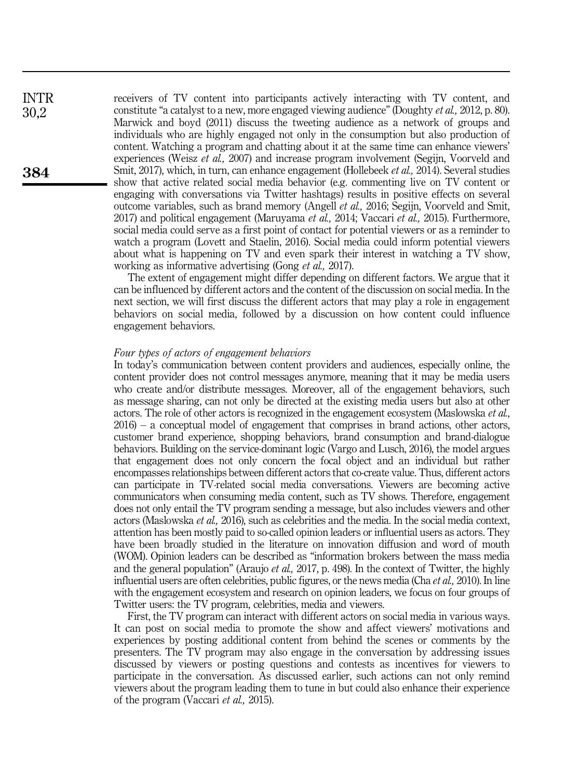receivers of TV content into participants actively interacting with TV content, and constitute "a catalyst to a new, more engaged viewing audience" (Doughty et al., 2012, p. 80). Marwick and boyd (2011) discuss the tweeting audience as a network of groups and individuals who are highly engaged not only in the consumption but also production of content. Watching a program and chatting about it at the same time can enhance viewers' experiences (Weisz *et al.*, 2007) and increase program involvement (Segijn, Voorveld and Smit, 2017), which, in turn, can enhance engagement (Hollebeek *et al.*, 2014). Several studies show that active related social media behavior (e.g. commenting live on TV content or engaging with conversations via Twitter hashtags) results in positive effects on several outcome variables, such as brand memory (Angell et al., 2016; Segijn, Voorveld and Smit, 2017) and political engagement (Maruyama et al., 2014; Vaccari et al., 2015). Furthermore, social media could serve as a first point of contact for potential viewers or as a reminder to watch a program (Lovett and Staelin, 2016). Social media could inform potential viewers about what is happening on TV and even spark their interest in watching a TV show, working as informative advertising (Gong et al., 2017).

The extent of engagement might differ depending on different factors. We argue that it can be influenced by different actors and the content of the discussion on social media. In the next section, we will first discuss the different actors that may play a role in engagement behaviors on social media, followed by a discussion on how content could influence engagement behaviors.

#### Four types of actors of engagement behaviors

In today's communication between content providers and audiences, especially online, the content provider does not control messages anymore, meaning that it may be media users who create and/or distribute messages. Moreover, all of the engagement behaviors, such as message sharing, can not only be directed at the existing media users but also at other actors. The role of other actors is recognized in the engagement ecosystem (Maslowska et al., 2016) – a conceptual model of engagement that comprises in brand actions, other actors, customer brand experience, shopping behaviors, brand consumption and brand-dialogue behaviors. Building on the service-dominant logic (Vargo and Lusch, 2016), the model argues that engagement does not only concern the focal object and an individual but rather encompasses relationships between different actors that co-create value. Thus, different actors can participate in TV-related social media conversations. Viewers are becoming active communicators when consuming media content, such as TV shows. Therefore, engagement does not only entail the TV program sending a message, but also includes viewers and other actors (Maslowska et al., 2016), such as celebrities and the media. In the social media context, attention has been mostly paid to so-called opinion leaders or influential users as actors. They have been broadly studied in the literature on innovation diffusion and word of mouth (WOM). Opinion leaders can be described as "information brokers between the mass media and the general population" (Araujo *et al.*, 2017, p. 498). In the context of Twitter, the highly influential users are often celebrities, public figures, or the news media (Cha et al., 2010). In line with the engagement ecosystem and research on opinion leaders, we focus on four groups of Twitter users: the TV program, celebrities, media and viewers.

First, the TV program can interact with different actors on social media in various ways. It can post on social media to promote the show and affect viewers' motivations and experiences by posting additional content from behind the scenes or comments by the presenters. The TV program may also engage in the conversation by addressing issues discussed by viewers or posting questions and contests as incentives for viewers to participate in the conversation. As discussed earlier, such actions can not only remind viewers about the program leading them to tune in but could also enhance their experience of the program (Vaccari et al., 2015).

INTR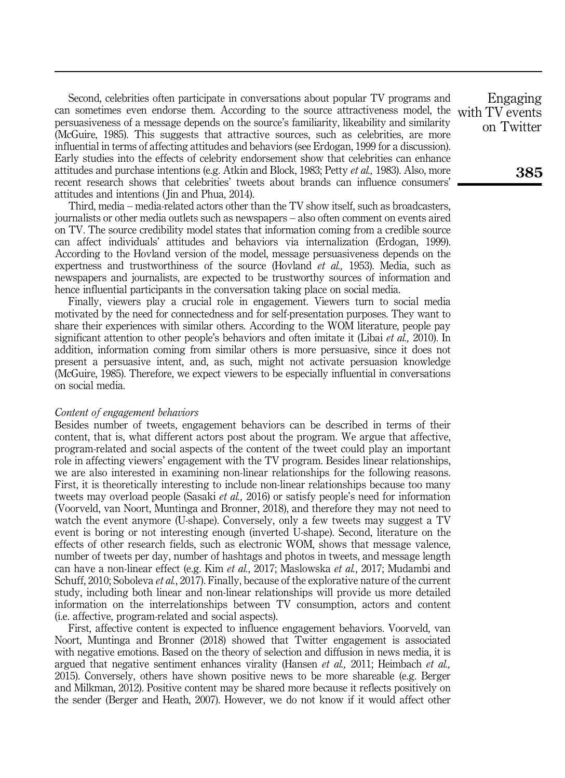Second, celebrities often participate in conversations about popular TV programs and can sometimes even endorse them. According to the source attractiveness model, the persuasiveness of a message depends on the source's familiarity, likeability and similarity (McGuire, 1985). This suggests that attractive sources, such as celebrities, are more influential in terms of affecting attitudes and behaviors (see Erdogan, 1999 for a discussion). Early studies into the effects of celebrity endorsement show that celebrities can enhance attitudes and purchase intentions (e.g. Atkin and Block, 1983; Petty et al., 1983). Also, more recent research shows that celebrities' tweets about brands can influence consumers' attitudes and intentions ( Jin and Phua, 2014).

Third, media – media-related actors other than the TV show itself, such as broadcasters, journalists or other media outlets such as newspapers – also often comment on events aired on TV. The source credibility model states that information coming from a credible source can affect individuals' attitudes and behaviors via internalization (Erdogan, 1999). According to the Hovland version of the model, message persuasiveness depends on the expertness and trustworthiness of the source (Hovland *et al.*, 1953). Media, such as newspapers and journalists, are expected to be trustworthy sources of information and hence influential participants in the conversation taking place on social media.

Finally, viewers play a crucial role in engagement. Viewers turn to social media motivated by the need for connectedness and for self-presentation purposes. They want to share their experiences with similar others. According to the WOM literature, people pay significant attention to other people's behaviors and often imitate it (Libai *et al.*, 2010). In addition, information coming from similar others is more persuasive, since it does not present a persuasive intent, and, as such, might not activate persuasion knowledge (McGuire, 1985). Therefore, we expect viewers to be especially influential in conversations on social media.

#### Content of engagement behaviors

Besides number of tweets, engagement behaviors can be described in terms of their content, that is, what different actors post about the program. We argue that affective, program-related and social aspects of the content of the tweet could play an important role in affecting viewers' engagement with the TV program. Besides linear relationships, we are also interested in examining non-linear relationships for the following reasons. First, it is theoretically interesting to include non-linear relationships because too many tweets may overload people (Sasaki et al., 2016) or satisfy people's need for information (Voorveld, van Noort, Muntinga and Bronner, 2018), and therefore they may not need to watch the event anymore (U-shape). Conversely, only a few tweets may suggest a TV event is boring or not interesting enough (inverted U-shape). Second, literature on the effects of other research fields, such as electronic WOM, shows that message valence, number of tweets per day, number of hashtags and photos in tweets, and message length can have a non-linear effect (e.g. Kim et al., 2017; Maslowska et al., 2017; Mudambi and Schuff, 2010; Soboleva *et al.*, 2017). Finally, because of the explorative nature of the current study, including both linear and non-linear relationships will provide us more detailed information on the interrelationships between TV consumption, actors and content (i.e. affective, program-related and social aspects).

First, affective content is expected to influence engagement behaviors. Voorveld, van Noort, Muntinga and Bronner (2018) showed that Twitter engagement is associated with negative emotions. Based on the theory of selection and diffusion in news media, it is argued that negative sentiment enhances virality (Hansen *et al.*, 2011; Heimbach *et al.*, 2015). Conversely, others have shown positive news to be more shareable (e.g. Berger and Milkman, 2012). Positive content may be shared more because it reflects positively on the sender (Berger and Heath, 2007). However, we do not know if it would affect other

Engaging with TV events on Twitter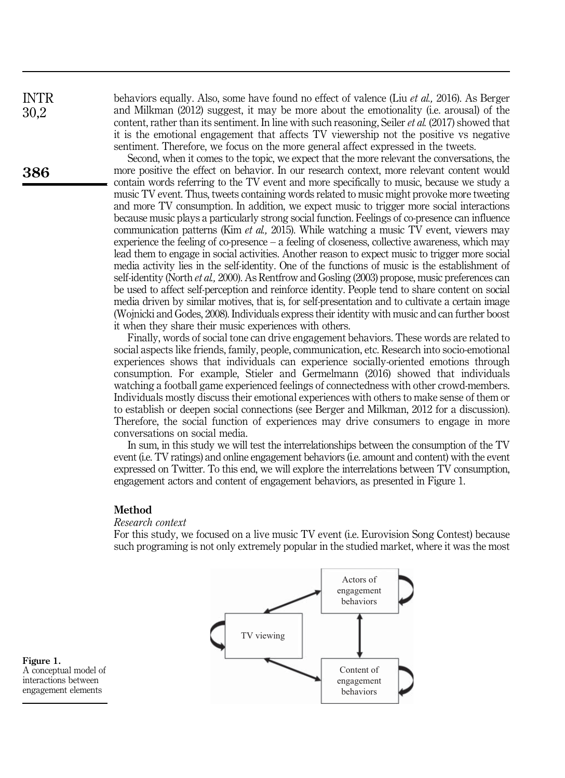behaviors equally. Also, some have found no effect of valence (Liu et al., 2016). As Berger and Milkman (2012) suggest, it may be more about the emotionality (i.e. arousal) of the content, rather than its sentiment. In line with such reasoning, Seiler et al. (2017) showed that it is the emotional engagement that affects TV viewership not the positive vs negative sentiment. Therefore, we focus on the more general affect expressed in the tweets.

Second, when it comes to the topic, we expect that the more relevant the conversations, the more positive the effect on behavior. In our research context, more relevant content would contain words referring to the TV event and more specifically to music, because we study a music TV event. Thus, tweets containing words related to music might provoke more tweeting and more TV consumption. In addition, we expect music to trigger more social interactions because music plays a particularly strong social function. Feelings of co-presence can influence communication patterns (Kim *et al.*, 2015). While watching a music TV event, viewers may experience the feeling of co-presence – a feeling of closeness, collective awareness, which may lead them to engage in social activities. Another reason to expect music to trigger more social media activity lies in the self-identity. One of the functions of music is the establishment of self-identity (North et al., 2000). As Rentfrow and Gosling (2003) propose, music preferences can be used to affect self-perception and reinforce identity. People tend to share content on social media driven by similar motives, that is, for self-presentation and to cultivate a certain image (Wojnicki and Godes, 2008). Individuals express their identity with music and can further boost it when they share their music experiences with others.

Finally, words of social tone can drive engagement behaviors. These words are related to social aspects like friends, family, people, communication, etc. Research into socio-emotional experiences shows that individuals can experience socially-oriented emotions through consumption. For example, Stieler and Germelmann (2016) showed that individuals watching a football game experienced feelings of connectedness with other crowd-members. Individuals mostly discuss their emotional experiences with others to make sense of them or to establish or deepen social connections (see Berger and Milkman, 2012 for a discussion). Therefore, the social function of experiences may drive consumers to engage in more conversations on social media.

In sum, in this study we will test the interrelationships between the consumption of the TV event (i.e. TV ratings) and online engagement behaviors (i.e. amount and content) with the event expressed on Twitter. To this end, we will explore the interrelations between TV consumption, engagement actors and content of engagement behaviors, as presented in Figure 1.

#### Method

#### Research context

For this study, we focused on a live music TV event (i.e. Eurovision Song Contest) because such programing is not only extremely popular in the studied market, where it was the most



Figure 1. A conceptual model of interactions between engagement elements

INTR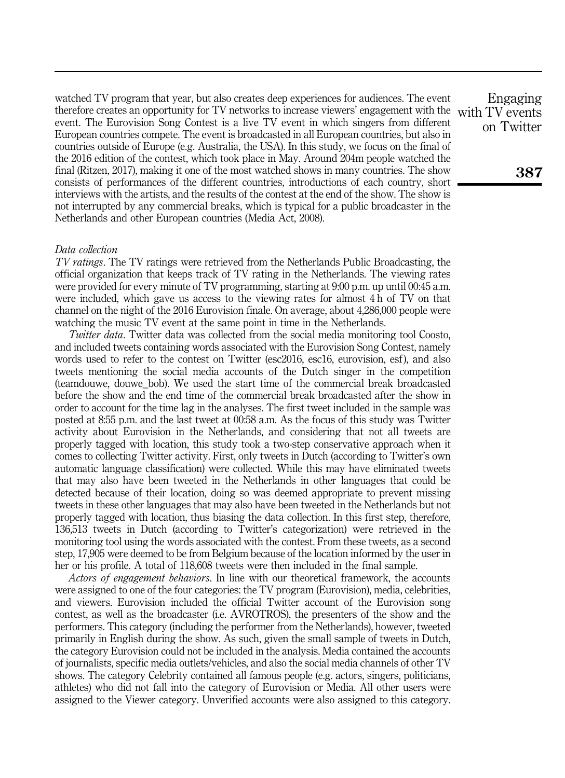watched TV program that year, but also creates deep experiences for audiences. The event therefore creates an opportunity for TV networks to increase viewers' engagement with the event. The Eurovision Song Contest is a live TV event in which singers from different European countries compete. The event is broadcasted in all European countries, but also in countries outside of Europe (e.g. Australia, the USA). In this study, we focus on the final of the 2016 edition of the contest, which took place in May. Around 204m people watched the final (Ritzen, 2017), making it one of the most watched shows in many countries. The show consists of performances of the different countries, introductions of each country, short interviews with the artists, and the results of the contest at the end of the show. The show is not interrupted by any commercial breaks, which is typical for a public broadcaster in the Netherlands and other European countries (Media Act, 2008).

#### Data collection

TV ratings. The TV ratings were retrieved from the Netherlands Public Broadcasting, the official organization that keeps track of TV rating in the Netherlands. The viewing rates were provided for every minute of TV programming, starting at 9:00 p.m. up until 00:45 a.m. were included, which gave us access to the viewing rates for almost 4 h of TV on that channel on the night of the 2016 Eurovision finale. On average, about 4,286,000 people were watching the music TV event at the same point in time in the Netherlands.

Twitter data. Twitter data was collected from the social media monitoring tool Coosto, and included tweets containing words associated with the Eurovision Song Contest, namely words used to refer to the contest on Twitter (esc2016, esc16, eurovision, esf), and also tweets mentioning the social media accounts of the Dutch singer in the competition (teamdouwe, douwe\_bob). We used the start time of the commercial break broadcasted before the show and the end time of the commercial break broadcasted after the show in order to account for the time lag in the analyses. The first tweet included in the sample was posted at 8:55 p.m. and the last tweet at 00:58 a.m. As the focus of this study was Twitter activity about Eurovision in the Netherlands, and considering that not all tweets are properly tagged with location, this study took a two-step conservative approach when it comes to collecting Twitter activity. First, only tweets in Dutch (according to Twitter's own automatic language classification) were collected. While this may have eliminated tweets that may also have been tweeted in the Netherlands in other languages that could be detected because of their location, doing so was deemed appropriate to prevent missing tweets in these other languages that may also have been tweeted in the Netherlands but not properly tagged with location, thus biasing the data collection. In this first step, therefore, 136,513 tweets in Dutch (according to Twitter's categorization) were retrieved in the monitoring tool using the words associated with the contest. From these tweets, as a second step, 17,905 were deemed to be from Belgium because of the location informed by the user in her or his profile. A total of 118,608 tweets were then included in the final sample.

Actors of engagement behaviors. In line with our theoretical framework, the accounts were assigned to one of the four categories: the TV program (Eurovision), media, celebrities, and viewers. Eurovision included the official Twitter account of the Eurovision song contest, as well as the broadcaster (i.e. AVROTROS), the presenters of the show and the performers. This category (including the performer from the Netherlands), however, tweeted primarily in English during the show. As such, given the small sample of tweets in Dutch, the category Eurovision could not be included in the analysis. Media contained the accounts of journalists, specific media outlets/vehicles, and also the social media channels of other TV shows. The category Celebrity contained all famous people (e.g. actors, singers, politicians, athletes) who did not fall into the category of Eurovision or Media. All other users were assigned to the Viewer category. Unverified accounts were also assigned to this category.

Engaging with TV events on Twitter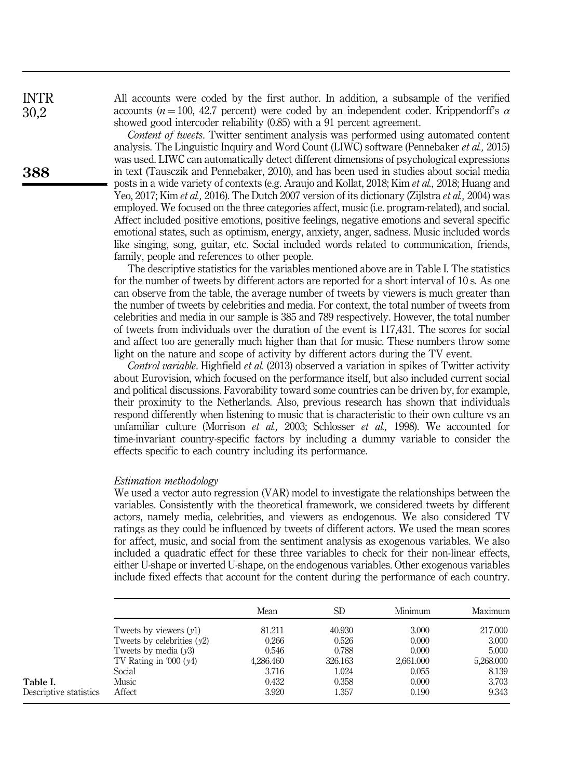All accounts were coded by the first author. In addition, a subsample of the verified accounts ( $n = 100$ , 42.7 percent) were coded by an independent coder. Krippendorff's  $\alpha$ showed good intercoder reliability (0.85) with a 91 percent agreement.

Content of tweets. Twitter sentiment analysis was performed using automated content analysis. The Linguistic Inquiry and Word Count (LIWC) software (Pennebaker et al., 2015) was used. LIWC can automatically detect different dimensions of psychological expressions in text (Tausczik and Pennebaker, 2010), and has been used in studies about social media posts in a wide variety of contexts (e.g. Araujo and Kollat, 2018; Kim et al., 2018; Huang and Yeo, 2017; Kim et al., 2016). The Dutch 2007 version of its dictionary (Zijlstra et al., 2004) was employed. We focused on the three categories affect, music (i.e. program-related), and social. Affect included positive emotions, positive feelings, negative emotions and several specific emotional states, such as optimism, energy, anxiety, anger, sadness. Music included words like singing, song, guitar, etc. Social included words related to communication, friends, family, people and references to other people.

The descriptive statistics for the variables mentioned above are in Table I. The statistics for the number of tweets by different actors are reported for a short interval of 10 s. As one can observe from the table, the average number of tweets by viewers is much greater than the number of tweets by celebrities and media. For context, the total number of tweets from celebrities and media in our sample is 385 and 789 respectively. However, the total number of tweets from individuals over the duration of the event is 117,431. The scores for social and affect too are generally much higher than that for music. These numbers throw some light on the nature and scope of activity by different actors during the TV event.

Control variable. Highfield et al. (2013) observed a variation in spikes of Twitter activity about Eurovision, which focused on the performance itself, but also included current social and political discussions. Favorability toward some countries can be driven by, for example, their proximity to the Netherlands. Also, previous research has shown that individuals respond differently when listening to music that is characteristic to their own culture vs an unfamiliar culture (Morrison et al., 2003; Schlosser et al., 1998). We accounted for time-invariant country-specific factors by including a dummy variable to consider the effects specific to each country including its performance.

#### Estimation methodology

We used a vector auto regression (VAR) model to investigate the relationships between the variables. Consistently with the theoretical framework, we considered tweets by different actors, namely media, celebrities, and viewers as endogenous. We also considered TV ratings as they could be influenced by tweets of different actors. We used the mean scores for affect, music, and social from the sentiment analysis as exogenous variables. We also included a quadratic effect for these three variables to check for their non-linear effects, either U-shape or inverted U-shape, on the endogenous variables. Other exogenous variables include fixed effects that account for the content during the performance of each country.

|                        |                              | Mean      | <b>SD</b> | Minimum   | Maximum   |
|------------------------|------------------------------|-----------|-----------|-----------|-----------|
|                        | Tweets by viewers $(v1)$     | 81.211    | 40.930    | 3.000     | 217.000   |
|                        | Tweets by celebrities $(y2)$ | 0.266     | 0.526     | 0.000     | 3.000     |
|                        | Tweets by media $(y3)$       | 0.546     | 0.788     | 0.000     | 5.000     |
|                        | TV Rating in '000 $(y4)$     | 4,286,460 | 326.163   | 2,661,000 | 5,268,000 |
|                        | Social                       | 3.716     | 1.024     | 0.055     | 8.139     |
| Table I.               | Music                        | 0.432     | 0.358     | 0.000     | 3.703     |
| Descriptive statistics | Affect                       | 3.920     | 1.357     | 0.190     | 9.343     |

**388**

INTR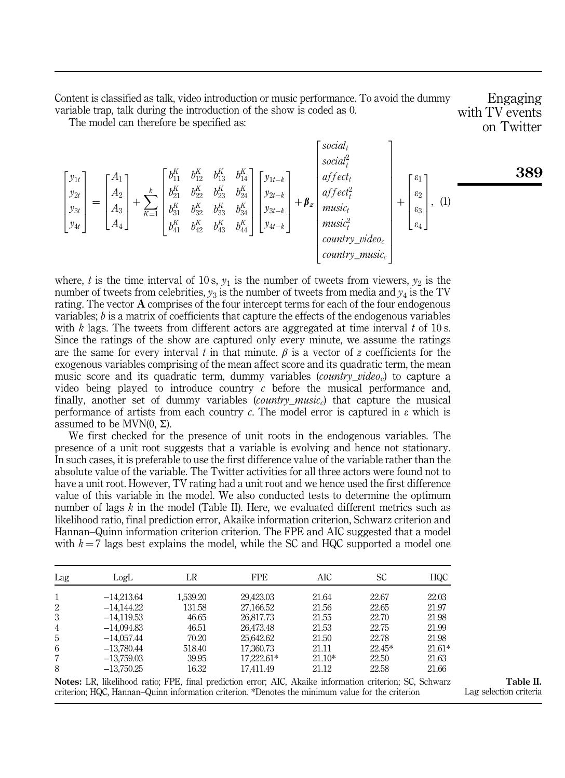Content is classified as talk, video introduction or music performance. To avoid the dummy variable trap, talk during the introduction of the show is coded as 0.

Engaging with TV events on Twitter

The model can therefore be specified as:

$$
\begin{bmatrix} y_{1t} \\ y_{2t} \\ y_{3t} \\ y_{4t} \end{bmatrix} = \begin{bmatrix} A_1 \\ A_2 \\ A_3 \\ A_4 \end{bmatrix} + \sum_{K=1}^k \begin{bmatrix} b_{11}^K & b_{12}^K & b_{13}^K & b_{14}^K \\ b_{21}^K & b_{22}^K & b_{23}^K & b_{24}^K \\ b_{31}^K & b_{32}^K & b_{33}^K & b_{34}^K \\ b_{41}^K & b_{42}^K & b_{43}^K & b_{44}^K \end{bmatrix} \begin{bmatrix} y_{1t-k} \\ y_{2t-k} \\ y_{3t-k} \\ y_{3t-k} \\ y_{4t-k} \end{bmatrix} + \beta_z \begin{bmatrix} \varepsilon_1 \\ \varepsilon_2 \\ \varepsilon_3 \\ \varepsilon_4 \\ \varepsilon_5 \\ \varepsilon_6 \\ \varepsilon_7 \\ \varepsilon_8 \\ \varepsilon_9 \\ \varepsilon_1 \end{bmatrix}, (1)
$$

3

where, t is the time interval of 10 s,  $y_1$  is the number of tweets from viewers,  $y_2$  is the number of tweets from celebrities,  $y_3$  is the number of tweets from media and  $y_4$  is the TV rating. The vector  $A$  comprises of the four intercept terms for each of the four endogenous variables;  $b$  is a matrix of coefficients that capture the effects of the endogenous variables with k lags. The tweets from different actors are aggregated at time interval t of 10 s. Since the ratings of the show are captured only every minute, we assume the ratings are the same for every interval t in that minute.  $\beta$  is a vector of z coefficients for the exogenous variables comprising of the mean affect score and its quadratic term, the mean music score and its quadratic term, dummy variables *(country video<sub>c</sub>)* to capture a video being played to introduce country  $c$  before the musical performance and, finally, another set of dummy variables (*country music*) that capture the musical performance of artists from each country c. The model error is captured in  $\varepsilon$  which is assumed to be MVN $(0, Σ)$ .

We first checked for the presence of unit roots in the endogenous variables. The presence of a unit root suggests that a variable is evolving and hence not stationary. In such cases, it is preferable to use the first difference value of the variable rather than the absolute value of the variable. The Twitter activities for all three actors were found not to have a unit root. However, TV rating had a unit root and we hence used the first difference value of this variable in the model. We also conducted tests to determine the optimum number of lags  $k$  in the model (Table II). Here, we evaluated different metrics such as likelihood ratio, final prediction error, Akaike information criterion, Schwarz criterion and Hannan–Quinn information criterion criterion. The FPE and AIC suggested that a model with  $k = 7$  lags best explains the model, while the SC and HQC supported a model one

| Lag            | LogL         | LR       | <b>FPE</b> | AIC      | SС       | <b>HQC</b> |
|----------------|--------------|----------|------------|----------|----------|------------|
| 1              | $-14,213.64$ | 1,539.20 | 29.423.03  | 21.64    | 22.67    | 22.03      |
| 2              | $-14,144.22$ | 131.58   | 27,166.52  | 21.56    | 22.65    | 21.97      |
| 3              | $-14,119.53$ | 46.65    | 26.817.73  | 21.55    | 22.70    | 21.98      |
| $\overline{4}$ | $-14,094.83$ | 46.51    | 26,473.48  | 21.53    | 22.75    | 21.99      |
| 5              | $-14.057.44$ | 70.20    | 25.642.62  | 21.50    | 22.78    | 21.98      |
| 6              | $-13.780.44$ | 518.40   | 17,360.73  | 21.11    | $22.45*$ | $21.61*$   |
| 7              | $-13,759.03$ | 39.95    | 17.222.61* | $21.10*$ | 22.50    | 21.63      |
| 8              | $-13,750.25$ | 16.32    | 17.411.49  | 21.12    | 22.58    | 21.66      |

Notes: LR, likelihood ratio; FPE, final prediction error; AIC, Akaike information criterion; SC, Schwarz criterion; HQC, Hannan–Quinn information criterion. \*Denotes the minimum value for the criterion

Table II. Lag selection criteria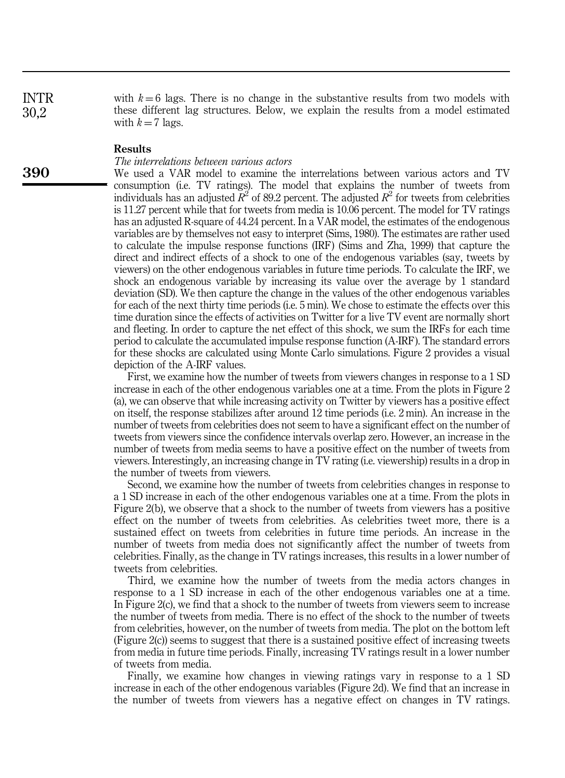with  $k = 6$  lags. There is no change in the substantive results from two models with these different lag structures. Below, we explain the results from a model estimated with  $k = 7$  lags.

#### Results

#### The interrelations between various actors

We used a VAR model to examine the interrelations between various actors and TV consumption (i.e. TV ratings). The model that explains the number of tweets from individuals has an adjusted  $\bar{R}^2$  of 89.2 percent. The adjusted  $R^2$  for tweets from celebrities is 11.27 percent while that for tweets from media is 10.06 percent. The model for TV ratings has an adjusted R-square of 44.24 percent. In a VAR model, the estimates of the endogenous variables are by themselves not easy to interpret (Sims, 1980). The estimates are rather used to calculate the impulse response functions (IRF) (Sims and Zha, 1999) that capture the direct and indirect effects of a shock to one of the endogenous variables (say, tweets by viewers) on the other endogenous variables in future time periods. To calculate the IRF, we shock an endogenous variable by increasing its value over the average by 1 standard deviation (SD). We then capture the change in the values of the other endogenous variables for each of the next thirty time periods (i.e. 5 min). We chose to estimate the effects over this time duration since the effects of activities on Twitter for a live TV event are normally short and fleeting. In order to capture the net effect of this shock, we sum the IRFs for each time period to calculate the accumulated impulse response function (A-IRF). The standard errors for these shocks are calculated using Monte Carlo simulations. Figure 2 provides a visual depiction of the A-IRF values.

First, we examine how the number of tweets from viewers changes in response to a 1 SD increase in each of the other endogenous variables one at a time. From the plots in Figure 2 (a), we can observe that while increasing activity on Twitter by viewers has a positive effect on itself, the response stabilizes after around 12 time periods (i.e. 2 min). An increase in the number of tweets from celebrities does not seem to have a significant effect on the number of tweets from viewers since the confidence intervals overlap zero. However, an increase in the number of tweets from media seems to have a positive effect on the number of tweets from viewers. Interestingly, an increasing change in TV rating (i.e. viewership) results in a drop in the number of tweets from viewers.

Second, we examine how the number of tweets from celebrities changes in response to a 1 SD increase in each of the other endogenous variables one at a time. From the plots in Figure 2(b), we observe that a shock to the number of tweets from viewers has a positive effect on the number of tweets from celebrities. As celebrities tweet more, there is a sustained effect on tweets from celebrities in future time periods. An increase in the number of tweets from media does not significantly affect the number of tweets from celebrities. Finally, as the change in TV ratings increases, this results in a lower number of tweets from celebrities.

Third, we examine how the number of tweets from the media actors changes in response to a 1 SD increase in each of the other endogenous variables one at a time. In Figure 2(c), we find that a shock to the number of tweets from viewers seem to increase the number of tweets from media. There is no effect of the shock to the number of tweets from celebrities, however, on the number of tweets from media. The plot on the bottom left (Figure 2(c)) seems to suggest that there is a sustained positive effect of increasing tweets from media in future time periods. Finally, increasing TV ratings result in a lower number of tweets from media.

Finally, we examine how changes in viewing ratings vary in response to a 1 SD increase in each of the other endogenous variables (Figure 2d). We find that an increase in the number of tweets from viewers has a negative effect on changes in TV ratings.

**390**

INTR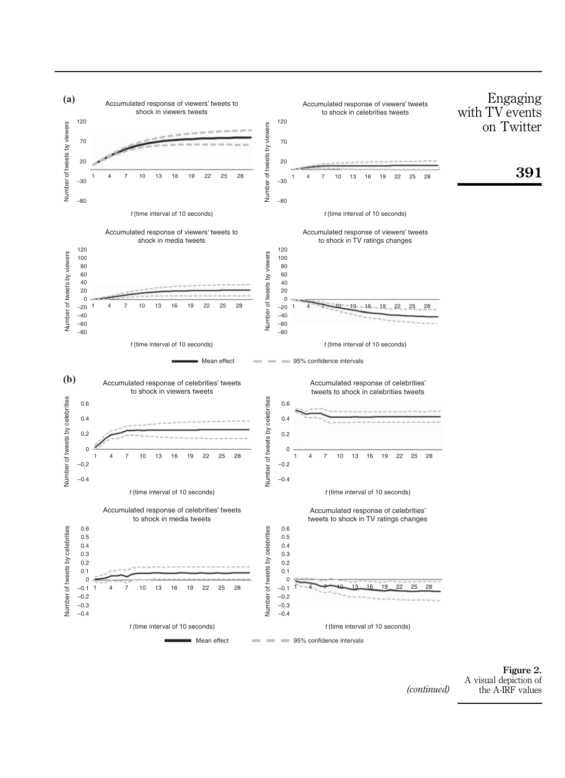

A visual depiction of (*continued*) the A-IRF values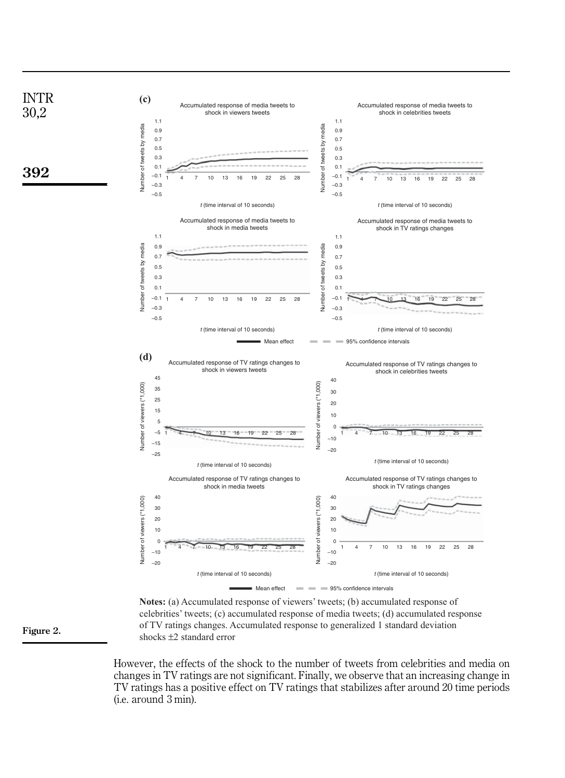

**Notes:** (a) Accumulated response of viewers' tweets; (b) accumulated response of celebrities' tweets; (c) accumulated response of media tweets; (d) accumulated response of TV ratings changes. Accumulated response to generalized 1 standard deviation shocks ±2 standard error

However, the effects of the shock to the number of tweets from celebrities and media on changes in TV ratings are not significant. Finally, we observe that an increasing change in TV ratings has a positive effect on TV ratings that stabilizes after around 20 time periods (i.e. around 3 min).

Figure 2.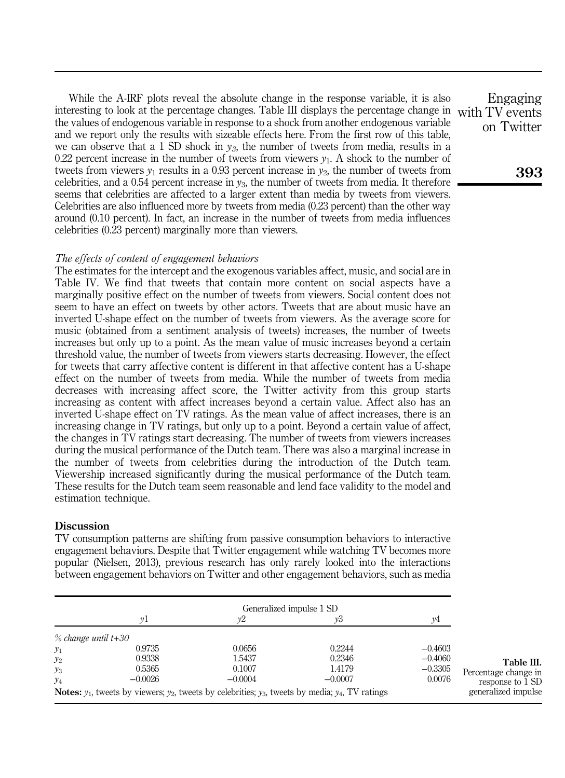While the A-IRF plots reveal the absolute change in the response variable, it is also interesting to look at the percentage changes. Table III displays the percentage change in the values of endogenous variable in response to a shock from another endogenous variable and we report only the results with sizeable effects here. From the first row of this table, we can observe that a 1 SD shock in  $y_3$ , the number of tweets from media, results in a 0.22 percent increase in the number of tweets from viewers  $y_1$ . A shock to the number of tweets from viewers  $y_1$  results in a 0.93 percent increase in  $y_2$ , the number of tweets from celebrities, and a 0.54 percent increase in  $y_3$ , the number of tweets from media. It therefore seems that celebrities are affected to a larger extent than media by tweets from viewers. Celebrities are also influenced more by tweets from media (0.23 percent) than the other way around (0.10 percent). In fact, an increase in the number of tweets from media influences celebrities (0.23 percent) marginally more than viewers.

#### The effects of content of engagement behaviors

The estimates for the intercept and the exogenous variables affect, music, and social are in Table IV. We find that tweets that contain more content on social aspects have a marginally positive effect on the number of tweets from viewers. Social content does not seem to have an effect on tweets by other actors. Tweets that are about music have an inverted U-shape effect on the number of tweets from viewers. As the average score for music (obtained from a sentiment analysis of tweets) increases, the number of tweets increases but only up to a point. As the mean value of music increases beyond a certain threshold value, the number of tweets from viewers starts decreasing. However, the effect for tweets that carry affective content is different in that affective content has a U-shape effect on the number of tweets from media. While the number of tweets from media decreases with increasing affect score, the Twitter activity from this group starts increasing as content with affect increases beyond a certain value. Affect also has an inverted U-shape effect on TV ratings. As the mean value of affect increases, there is an increasing change in TV ratings, but only up to a point. Beyond a certain value of affect, the changes in TV ratings start decreasing. The number of tweets from viewers increases during the musical performance of the Dutch team. There was also a marginal increase in the number of tweets from celebrities during the introduction of the Dutch team. Viewership increased significantly during the musical performance of the Dutch team. These results for the Dutch team seem reasonable and lend face validity to the model and estimation technique.

#### **Discussion**

TV consumption patterns are shifting from passive consumption behaviors to interactive engagement behaviors. Despite that Twitter engagement while watching TV becomes more popular (Nielsen, 2013), previous research has only rarely looked into the interactions between engagement behaviors on Twitter and other engagement behaviors, such as media

|                     | νl        | v2        | Generalized impulse 1 SD<br>yЗ                                                                                      | ν4        |                      |
|---------------------|-----------|-----------|---------------------------------------------------------------------------------------------------------------------|-----------|----------------------|
|                     |           |           |                                                                                                                     |           |                      |
| % change until t+30 |           |           |                                                                                                                     |           |                      |
| $y_1$               | 0.9735    | 0.0656    | 0.2244                                                                                                              | $-0.4603$ |                      |
| $y_2$               | 0.9338    | 1.5437    | 0.2346                                                                                                              | $-0.4060$ | Table III.           |
| $y_3$               | 0.5365    | 0.1007    | 1.4179                                                                                                              | $-0.3305$ | Percentage change in |
| $y_4$               | $-0.0026$ | $-0.0004$ | $-0.0007$                                                                                                           | 0.0076    | response to 1 SD     |
|                     |           |           | <b>Notes:</b> $y_1$ , tweets by viewers; $y_2$ , tweets by celebrities; $y_3$ , tweets by media; $y_4$ , TV ratings |           | generalized impulse  |

Engaging with TV events on Twitter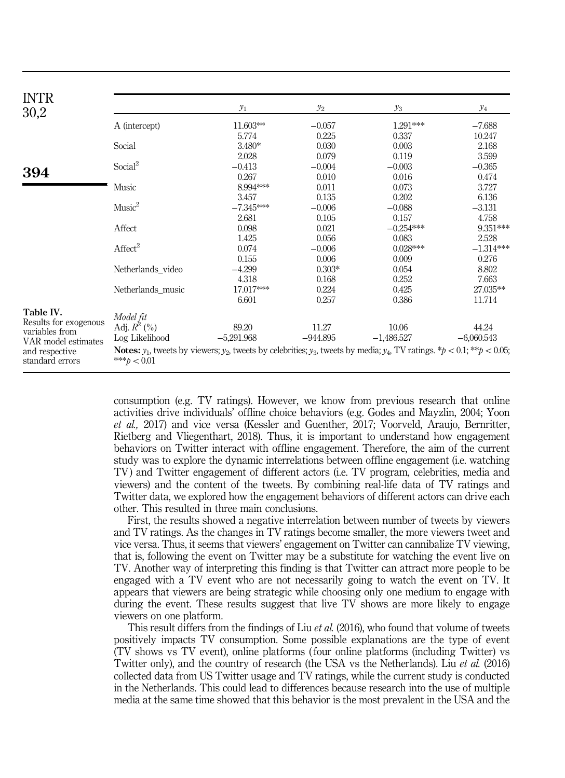| <b>INTR</b><br>30,2                   |                                                                                                                                                                              | $y_1$        | $\mathcal{Y}_2$ | $y_3$        | $y_4$        |  |
|---------------------------------------|------------------------------------------------------------------------------------------------------------------------------------------------------------------------------|--------------|-----------------|--------------|--------------|--|
|                                       | A (intercept)                                                                                                                                                                | 11.603**     | $-0.057$        | $1.291***$   | $-7.688$     |  |
|                                       |                                                                                                                                                                              | 5.774        | 0.225           | 0.337        | 10.247       |  |
|                                       | Social                                                                                                                                                                       | $3.480*$     | 0.030           | 0.003        | 2.168        |  |
|                                       |                                                                                                                                                                              | 2.028        | 0.079           | 0.119        | 3.599        |  |
|                                       | Social <sup>2</sup>                                                                                                                                                          | $-0.413$     | $-0.004$        | $-0.003$     | $-0.365$     |  |
| 394                                   |                                                                                                                                                                              | 0.267        | 0.010           | 0.016        | 0.474        |  |
|                                       | Music                                                                                                                                                                        | 8.994***     | 0.011           | 0.073        | 3.727        |  |
|                                       |                                                                                                                                                                              | 3.457        | 0.135           | 0.202        | 6.136        |  |
|                                       | Music <sup>2</sup>                                                                                                                                                           | $-7.345***$  | $-0.006$        | $-0.088$     | $-3.131$     |  |
|                                       |                                                                                                                                                                              | 2.681        | 0.105           | 0.157        | 4.758        |  |
|                                       | Affect                                                                                                                                                                       | 0.098        | 0.021           | $-0.254***$  | 9.351***     |  |
|                                       |                                                                                                                                                                              | 1.425        | 0.056           | 0.083        | 2.528        |  |
|                                       | Affect <sup>2</sup>                                                                                                                                                          | 0.074        | $-0.006$        | $0.028***$   | $-1.314***$  |  |
|                                       |                                                                                                                                                                              | 0.155        | 0.006           | 0.009        | 0.276        |  |
|                                       | Netherlands video                                                                                                                                                            | $-4.299$     | $0.303*$        | 0.054        | 8.802        |  |
|                                       |                                                                                                                                                                              | 4.318        | 0.168           | 0.252        | 7.663        |  |
|                                       | Netherlands music                                                                                                                                                            | 17.017***    | 0.224           | 0.425        | 27.035**     |  |
|                                       |                                                                                                                                                                              | 6.601        | 0.257           | 0.386        | 11.714       |  |
| Table IV.                             | Model fit                                                                                                                                                                    |              |                 |              |              |  |
| Results for exogenous                 | Adj. $R^2$ (%)                                                                                                                                                               | 89.20        | 11.27           | 10.06        | 44.24        |  |
| variables from<br>VAR model estimates | Log Likelihood                                                                                                                                                               | $-5,291.968$ | $-944.895$      | $-1,486.527$ | $-6,060.543$ |  |
| and respective<br>standard errors     | <b>Notes:</b> $y_1$ , tweets by viewers; $y_2$ , tweets by celebrities; $y_3$ , tweets by media; $y_4$ , TV ratings. $*$ $\phi$ < 0.1; $**$ $\phi$ < 0.05;<br>*** $b < 0.01$ |              |                 |              |              |  |

consumption (e.g. TV ratings). However, we know from previous research that online activities drive individuals' offline choice behaviors (e.g. Godes and Mayzlin, 2004; Yoon et al., 2017) and vice versa (Kessler and Guenther, 2017; Voorveld, Araujo, Bernritter, Rietberg and Vliegenthart, 2018). Thus, it is important to understand how engagement behaviors on Twitter interact with offline engagement. Therefore, the aim of the current study was to explore the dynamic interrelations between offline engagement (i.e. watching TV) and Twitter engagement of different actors (i.e. TV program, celebrities, media and viewers) and the content of the tweets. By combining real-life data of TV ratings and Twitter data, we explored how the engagement behaviors of different actors can drive each other. This resulted in three main conclusions.

First, the results showed a negative interrelation between number of tweets by viewers and TV ratings. As the changes in TV ratings become smaller, the more viewers tweet and vice versa. Thus, it seems that viewers' engagement on Twitter can cannibalize TV viewing, that is, following the event on Twitter may be a substitute for watching the event live on TV. Another way of interpreting this finding is that Twitter can attract more people to be engaged with a TV event who are not necessarily going to watch the event on TV. It appears that viewers are being strategic while choosing only one medium to engage with during the event. These results suggest that live TV shows are more likely to engage viewers on one platform.

This result differs from the findings of Liu et al. (2016), who found that volume of tweets positively impacts TV consumption. Some possible explanations are the type of event (TV shows vs TV event), online platforms ( four online platforms (including Twitter) vs Twitter only), and the country of research (the USA vs the Netherlands). Liu et al. (2016) collected data from US Twitter usage and TV ratings, while the current study is conducted in the Netherlands. This could lead to differences because research into the use of multiple media at the same time showed that this behavior is the most prevalent in the USA and the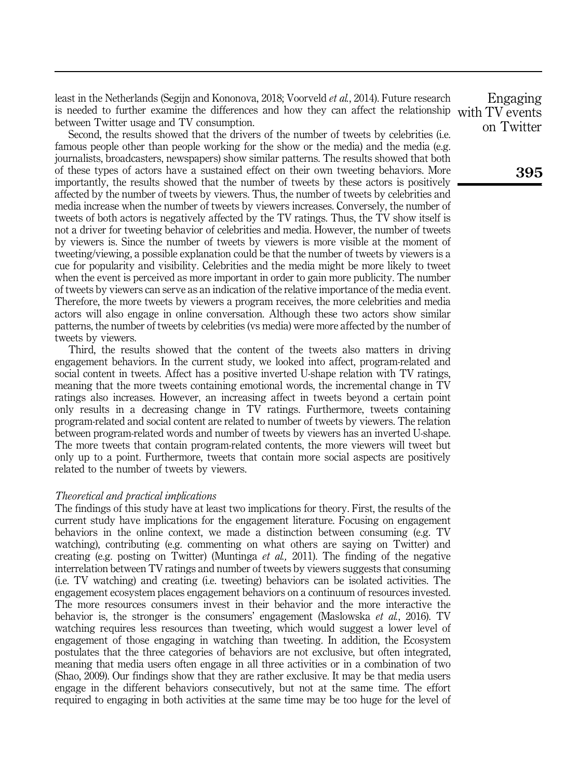least in the Netherlands (Segijn and Kononova, 2018; Voorveld et al., 2014). Future research is needed to further examine the differences and how they can affect the relationship with TV events between Twitter usage and TV consumption.

Second, the results showed that the drivers of the number of tweets by celebrities (i.e. famous people other than people working for the show or the media) and the media (e.g. journalists, broadcasters, newspapers) show similar patterns. The results showed that both of these types of actors have a sustained effect on their own tweeting behaviors. More importantly, the results showed that the number of tweets by these actors is positively affected by the number of tweets by viewers. Thus, the number of tweets by celebrities and media increase when the number of tweets by viewers increases. Conversely, the number of tweets of both actors is negatively affected by the TV ratings. Thus, the TV show itself is not a driver for tweeting behavior of celebrities and media. However, the number of tweets by viewers is. Since the number of tweets by viewers is more visible at the moment of tweeting/viewing, a possible explanation could be that the number of tweets by viewers is a cue for popularity and visibility. Celebrities and the media might be more likely to tweet when the event is perceived as more important in order to gain more publicity. The number of tweets by viewers can serve as an indication of the relative importance of the media event. Therefore, the more tweets by viewers a program receives, the more celebrities and media actors will also engage in online conversation. Although these two actors show similar patterns, the number of tweets by celebrities (vs media) were more affected by the number of tweets by viewers.

Third, the results showed that the content of the tweets also matters in driving engagement behaviors. In the current study, we looked into affect, program-related and social content in tweets. Affect has a positive inverted U-shape relation with TV ratings, meaning that the more tweets containing emotional words, the incremental change in TV ratings also increases. However, an increasing affect in tweets beyond a certain point only results in a decreasing change in TV ratings. Furthermore, tweets containing program-related and social content are related to number of tweets by viewers. The relation between program-related words and number of tweets by viewers has an inverted U-shape. The more tweets that contain program-related contents, the more viewers will tweet but only up to a point. Furthermore, tweets that contain more social aspects are positively related to the number of tweets by viewers.

#### Theoretical and practical implications

The findings of this study have at least two implications for theory. First, the results of the current study have implications for the engagement literature. Focusing on engagement behaviors in the online context, we made a distinction between consuming (e.g. TV watching), contributing (e.g. commenting on what others are saying on Twitter) and creating (e.g. posting on Twitter) (Muntinga *et al.*, 2011). The finding of the negative interrelation between TV ratings and number of tweets by viewers suggests that consuming (i.e. TV watching) and creating (i.e. tweeting) behaviors can be isolated activities. The engagement ecosystem places engagement behaviors on a continuum of resources invested. The more resources consumers invest in their behavior and the more interactive the behavior is, the stronger is the consumers' engagement (Maslowska *et al.*, 2016). TV watching requires less resources than tweeting, which would suggest a lower level of engagement of those engaging in watching than tweeting. In addition, the Ecosystem postulates that the three categories of behaviors are not exclusive, but often integrated, meaning that media users often engage in all three activities or in a combination of two (Shao, 2009). Our findings show that they are rather exclusive. It may be that media users engage in the different behaviors consecutively, but not at the same time. The effort required to engaging in both activities at the same time may be too huge for the level of

Engaging on Twitter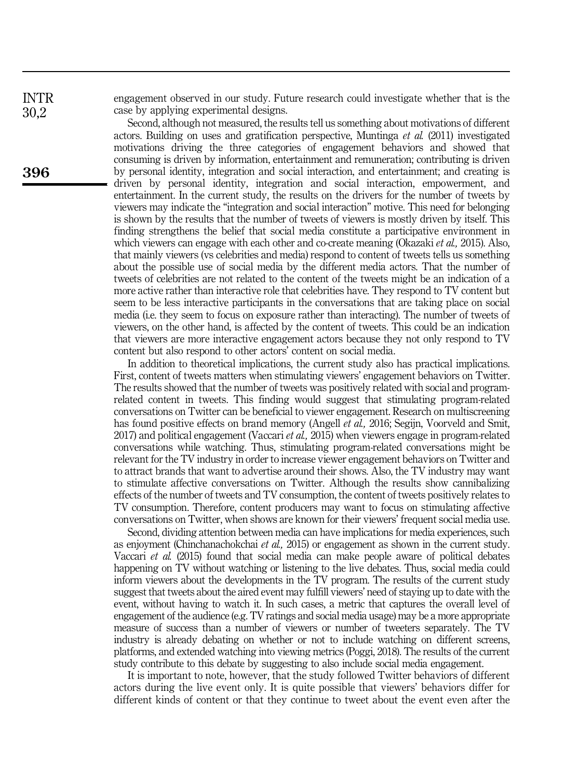engagement observed in our study. Future research could investigate whether that is the case by applying experimental designs.

Second, although not measured, the results tell us something about motivations of different actors. Building on uses and gratification perspective, Muntinga et al. (2011) investigated motivations driving the three categories of engagement behaviors and showed that consuming is driven by information, entertainment and remuneration; contributing is driven by personal identity, integration and social interaction, and entertainment; and creating is driven by personal identity, integration and social interaction, empowerment, and entertainment. In the current study, the results on the drivers for the number of tweets by viewers may indicate the "integration and social interaction" motive. This need for belonging is shown by the results that the number of tweets of viewers is mostly driven by itself. This finding strengthens the belief that social media constitute a participative environment in which viewers can engage with each other and co-create meaning (Okazaki *et al.*, 2015). Also, that mainly viewers (vs celebrities and media) respond to content of tweets tells us something about the possible use of social media by the different media actors. That the number of tweets of celebrities are not related to the content of the tweets might be an indication of a more active rather than interactive role that celebrities have. They respond to TV content but seem to be less interactive participants in the conversations that are taking place on social media (i.e. they seem to focus on exposure rather than interacting). The number of tweets of viewers, on the other hand, is affected by the content of tweets. This could be an indication that viewers are more interactive engagement actors because they not only respond to TV content but also respond to other actors' content on social media.

In addition to theoretical implications, the current study also has practical implications. First, content of tweets matters when stimulating viewers' engagement behaviors on Twitter. The results showed that the number of tweets was positively related with social and programrelated content in tweets. This finding would suggest that stimulating program-related conversations on Twitter can be beneficial to viewer engagement. Research on multiscreening has found positive effects on brand memory (Angell *et al.*, 2016; Segijn, Voorveld and Smit, 2017) and political engagement (Vaccari et al., 2015) when viewers engage in program-related conversations while watching. Thus, stimulating program-related conversations might be relevant for the TV industry in order to increase viewer engagement behaviors on Twitter and to attract brands that want to advertise around their shows. Also, the TV industry may want to stimulate affective conversations on Twitter. Although the results show cannibalizing effects of the number of tweets and TV consumption, the content of tweets positively relates to TV consumption. Therefore, content producers may want to focus on stimulating affective conversations on Twitter, when shows are known for their viewers' frequent social media use.

Second, dividing attention between media can have implications for media experiences, such as enjoyment (Chinchanachokchai et al., 2015) or engagement as shown in the current study. Vaccari et al. (2015) found that social media can make people aware of political debates happening on TV without watching or listening to the live debates. Thus, social media could inform viewers about the developments in the TV program. The results of the current study suggest that tweets about the aired event may fulfill viewers' need of staying up to date with the event, without having to watch it. In such cases, a metric that captures the overall level of engagement of the audience (e.g. TV ratings and social media usage) may be a more appropriate measure of success than a number of viewers or number of tweeters separately. The TV industry is already debating on whether or not to include watching on different screens, platforms, and extended watching into viewing metrics (Poggi, 2018). The results of the current study contribute to this debate by suggesting to also include social media engagement.

It is important to note, however, that the study followed Twitter behaviors of different actors during the live event only. It is quite possible that viewers' behaviors differ for different kinds of content or that they continue to tweet about the event even after the

INTR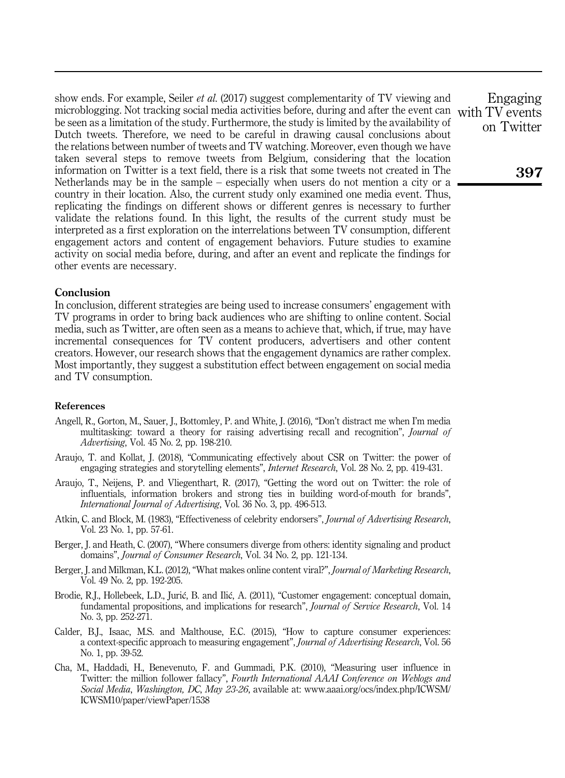show ends. For example, Seiler *et al.* (2017) suggest complementarity of TV viewing and microblogging. Not tracking social media activities before, during and after the event can with TV events be seen as a limitation of the study. Furthermore, the study is limited by the availability of Dutch tweets. Therefore, we need to be careful in drawing causal conclusions about the relations between number of tweets and TV watching. Moreover, even though we have taken several steps to remove tweets from Belgium, considering that the location information on Twitter is a text field, there is a risk that some tweets not created in The Netherlands may be in the sample – especially when users do not mention a city or a country in their location. Also, the current study only examined one media event. Thus, replicating the findings on different shows or different genres is necessary to further validate the relations found. In this light, the results of the current study must be interpreted as a first exploration on the interrelations between TV consumption, different engagement actors and content of engagement behaviors. Future studies to examine activity on social media before, during, and after an event and replicate the findings for other events are necessary.

#### **Conclusion**

In conclusion, different strategies are being used to increase consumers' engagement with TV programs in order to bring back audiences who are shifting to online content. Social media, such as Twitter, are often seen as a means to achieve that, which, if true, may have incremental consequences for TV content producers, advertisers and other content creators. However, our research shows that the engagement dynamics are rather complex. Most importantly, they suggest a substitution effect between engagement on social media and TV consumption.

#### References

- Angell, R., Gorton, M., Sauer, J., Bottomley, P. and White, J. (2016), "Don't distract me when I'm media multitasking: toward a theory for raising advertising recall and recognition", Journal of Advertising, Vol. 45 No. 2, pp. 198-210.
- Araujo, T. and Kollat, J. (2018), "Communicating effectively about CSR on Twitter: the power of engaging strategies and storytelling elements", Internet Research, Vol. 28 No. 2, pp. 419-431.
- Araujo, T., Neijens, P. and Vliegenthart, R. (2017), "Getting the word out on Twitter: the role of influentials, information brokers and strong ties in building word-of-mouth for brands", International Journal of Advertising, Vol. 36 No. 3, pp. 496-513.
- Atkin, C. and Block, M. (1983), "Effectiveness of celebrity endorsers", Journal of Advertising Research, Vol. 23 No. 1, pp. 57-61.
- Berger, J. and Heath, C. (2007), "Where consumers diverge from others: identity signaling and product domains", *Journal of Consumer Research*, Vol. 34 No. 2, pp. 121-134.
- Berger, J. and Milkman, K.L. (2012), "What makes online content viral?", Journal of Marketing Research, Vol. 49 No. 2, pp. 192-205.
- Brodie, R.J., Hollebeek, L.D., Jurić, B. and Ilić, A. (2011), "Customer engagement: conceptual domain, fundamental propositions, and implications for research", *Journal of Service Research*, Vol. 14 No. 3, pp. 252-271.
- Calder, B.J., Isaac, M.S. and Malthouse, E.C. (2015), "How to capture consumer experiences: a context-specific approach to measuring engagement", *Journal of Advertising Research*, Vol. 56 No. 1, pp. 39-52.
- Cha, M., Haddadi, H., Benevenuto, F. and Gummadi, P.K. (2010), "Measuring user influence in Twitter: the million follower fallacy", Fourth International AAAI Conference on Weblogs and Social Media, Washington, DC, May 23-26, available at: [www.aaai.org/ocs/index.php/ICWSM/](www.aaai.org/ocs/index.php/ICWSM/ICWSM10/paper/viewPaper/1538) [ICWSM10/paper/viewPaper/1538](www.aaai.org/ocs/index.php/ICWSM/ICWSM10/paper/viewPaper/1538)

Engaging on Twitter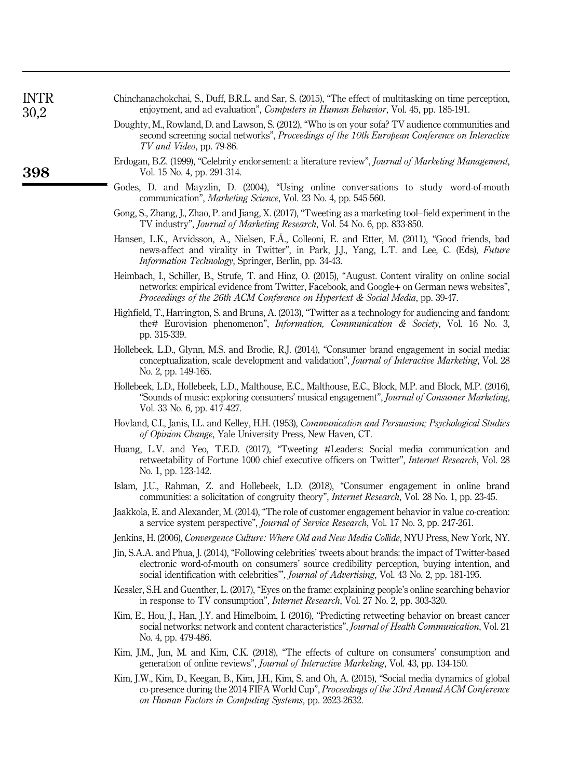| 98 | Erdogan, B.Z. (1999), "Celebrity endorsement: a literature review", Journal of Marketing Management,<br>Vol. 15 No. 4, pp. 291-314.                                                                                                                                                                      |
|----|----------------------------------------------------------------------------------------------------------------------------------------------------------------------------------------------------------------------------------------------------------------------------------------------------------|
|    | Godes, D. and Mayzlin, D. (2004), "Using online conversations to study word-of-mouth<br>communication", <i>Marketing Science</i> , Vol. 23 No. 4, pp. 545-560.                                                                                                                                           |
|    | Gong, S., Zhang, J., Zhao, P. and Jiang, X. (2017), "Tweeting as a marketing tool-field experiment in the<br>TV industry", <i>Journal of Marketing Research</i> , Vol. 54 No. 6, pp. 833-850.                                                                                                            |
|    | Hansen, L.K., Arvidsson, A., Nielsen, F.Å., Colleoni, E. and Etter, M. (2011), "Good friends, bad<br>news-affect and virality in Twitter", in Park, J.J., Yang, L.T. and Lee, C. (Eds), Future<br>Information Technology, Springer, Berlin, pp. 34-43.                                                   |
|    | Heimbach, I., Schiller, B., Strufe, T. and Hinz, O. (2015), "August. Content virality on online social<br>networks: empirical evidence from Twitter, Facebook, and Google+ on German news websites",<br>Proceedings of the 26th ACM Conference on Hypertext & Social Media, pp. 39-47.                   |
|    | Highfield, T., Harrington, S. and Bruns, A. (2013), "Twitter as a technology for audiencing and fandom:<br>the# Eurovision phenomenon", Information, Communication & Society, Vol. 16 No. 3,<br>pp. 315-339.                                                                                             |
|    | Hollebeek, L.D., Glynn, M.S. and Brodie, R.J. (2014), "Consumer brand engagement in social media:<br>conceptualization, scale development and validation", Journal of Interactive Marketing, Vol. 28<br>No. 2, pp. 149-165.                                                                              |
|    | Hollebeek, L.D., Hollebeek, L.D., Malthouse, E.C., Malthouse, E.C., Block, M.P. and Block, M.P. (2016),<br>"Sounds of music: exploring consumers' musical engagement", Journal of Consumer Marketing,<br>Vol. 33 No. 6, pp. 417-427.                                                                     |
|    | Hovland, C.I., Janis, I.L. and Kelley, H.H. (1953), Communication and Persuasion; Psychological Studies<br>of Opinion Change, Yale University Press, New Haven, CT.                                                                                                                                      |
|    | Huang, L.V. and Yeo, T.E.D. (2017), "Tweeting #Leaders: Social media communication and<br>retweetability of Fortune 1000 chief executive officers on Twitter", <i>Internet Research</i> , Vol. 28<br>No. 1, pp. 123-142.                                                                                 |
|    | Islam, J.U., Rahman, Z. and Hollebeek, L.D. (2018), "Consumer engagement in online brand<br>communities: a solicitation of congruity theory", <i>Internet Research</i> , Vol. 28 No. 1, pp. 23-45.                                                                                                       |
|    | Jaakkola, E. and Alexander, M. (2014), "The role of customer engagement behavior in value co-creation:<br>a service system perspective", Journal of Service Research, Vol. 17 No. 3, pp. 247-261.                                                                                                        |
|    | Jenkins, H. (2006), Convergence Culture: Where Old and New Media Collide, NYU Press, New York, NY.                                                                                                                                                                                                       |
|    | Jin, S.A.A. and Phua, J. (2014), "Following celebrities' tweets about brands: the impact of Twitter-based<br>electronic word-of-mouth on consumers' source credibility perception, buying intention, and<br>social identification with celebrities", Journal of Advertising, Vol. 43 No. 2, pp. 181-195. |
|    | Kessler, S.H. and Guenther, L. (2017), "Eyes on the frame: explaining people's online searching behavior<br>in response to TV consumption", <i>Internet Research</i> , Vol. 27 No. 2, pp. 303-320.                                                                                                       |
|    | Kim, E., Hou, J., Han, J.Y. and Himelboim, I. (2016), "Predicting retweeting behavior on breast cancer<br>social networks: network and content characteristics", Journal of Health Communication, Vol. 21<br>No. 4, pp. 479-486.                                                                         |
|    | Kim, J.M., Jun, M. and Kim, C.K. (2018), "The effects of culture on consumers' consumption and<br>generation of online reviews", Journal of Interactive Marketing, Vol. 43, pp. 134-150.                                                                                                                 |
|    | Kim, J.W., Kim, D., Keegan, B., Kim, J.H., Kim, S. and Oh, A. (2015), "Social media dynamics of global<br>co-presence during the 2014 FIFA World Cup", Proceedings of the 33rd Annual ACM Conference<br>on Human Factors in Computing Systems, pp. 2623-2632.                                            |
|    |                                                                                                                                                                                                                                                                                                          |
|    |                                                                                                                                                                                                                                                                                                          |

Chinchanachokchai, S., Duff, B.R.L. and Sar, S. (2015), "The effect of multitasking on time perception, enjoyment, and ad evaluation", Computers in Human Behavior, Vol. 45, pp. 185-191. Doughty, M., Rowland, D. and Lawson, S. (2012), "Who is on your sofa? TV audience communities and second screening social networks", Proceedings of the 10th European Conference on Interactive

TV and Video, pp. 79-86.

**3** 

INTR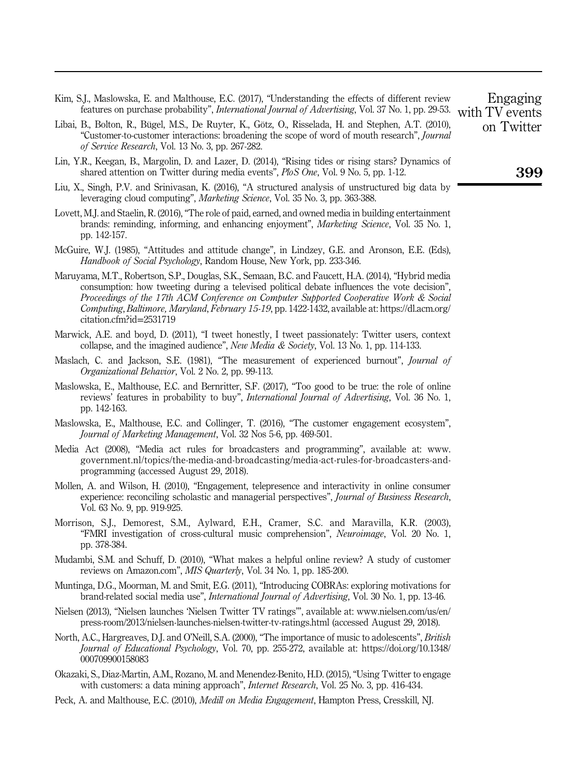- Kim, S.J., Maslowska, E. and Malthouse, E.C. (2017), "Understanding the effects of different review features on purchase probability", *International Journal of Advertising*, Vol. 37 No. 1, pp. 29-53. with TV events
- Libai, B., Bolton, R., Bügel, M.S., De Ruyter, K., Götz, O., Risselada, H. and Stephen, A.T. (2010), "Customer-to-customer interactions: broadening the scope of word of mouth research", Journal of Service Research, Vol. 13 No. 3, pp. 267-282.
- Lin, Y.R., Keegan, B., Margolin, D. and Lazer, D. (2014), "Rising tides or rising stars? Dynamics of shared attention on Twitter during media events", PloS One, Vol. 9 No. 5, pp. 1-12.
- Liu, X., Singh, P.V. and Srinivasan, K. (2016), "A structured analysis of unstructured big data by leveraging cloud computing", Marketing Science, Vol. 35 No. 3, pp. 363-388.
- Lovett, M.J. and Staelin, R. (2016), "The role of paid, earned, and owned media in building entertainment brands: reminding, informing, and enhancing enjoyment", Marketing Science, Vol. 35 No. 1, pp. 142-157.
- McGuire, W.J. (1985), "Attitudes and attitude change", in Lindzey, G.E. and Aronson, E.E. (Eds), Handbook of Social Psychology, Random House, New York, pp. 233-346.
- Maruyama, M.T., Robertson, S.P., Douglas, S.K., Semaan, B.C. and Faucett, H.A. (2014), "Hybrid media consumption: how tweeting during a televised political debate influences the vote decision", Proceedings of the 17th ACM Conference on Computer Supported Cooperative Work & Social Computing, Baltimore, Maryland, February 15-19, pp. 1422-1432, available at: [https://dl.acm.org/](https://dl.acm.org/citation.cfm?id=2531719) [citation.cfm?id](https://dl.acm.org/citation.cfm?id=2531719)=2531719
- Marwick, A.E. and boyd, D. (2011), "I tweet honestly, I tweet passionately: Twitter users, context collapse, and the imagined audience", New Media & Society, Vol. 13 No. 1, pp. 114-133.
- Maslach, C. and Jackson, S.E. (1981), "The measurement of experienced burnout", *Journal of* Organizational Behavior, Vol. 2 No. 2, pp. 99-113.
- Maslowska, E., Malthouse, E.C. and Bernritter, S.F. (2017), "Too good to be true: the role of online reviews' features in probability to buy", *International Journal of Advertising*, Vol. 36 No. 1, pp. 142-163.
- Maslowska, E., Malthouse, E.C. and Collinger, T. (2016), "The customer engagement ecosystem", Journal of Marketing Management, Vol. 32 Nos 5-6, pp. 469-501.
- Media Act (2008), "Media act rules for broadcasters and programming", available at: [www.](www.government.nl/topics/the-media-and-broadcasting/media-act-rules-for-broadcasters-and-programming) [government.nl/topics/the-media-and-broadcasting/media-act-rules-for-broadcasters-and](www.government.nl/topics/the-media-and-broadcasting/media-act-rules-for-broadcasters-and-programming)[programming](www.government.nl/topics/the-media-and-broadcasting/media-act-rules-for-broadcasters-and-programming) (accessed August 29, 2018).
- Mollen, A. and Wilson, H. (2010), "Engagement, telepresence and interactivity in online consumer experience: reconciling scholastic and managerial perspectives", *Journal of Business Research*, Vol. 63 No. 9, pp. 919-925.
- Morrison, S.J., Demorest, S.M., Aylward, E.H., Cramer, S.C. and Maravilla, K.R. (2003), "FMRI investigation of cross-cultural music comprehension", Neuroimage, Vol. 20 No. 1, pp. 378-384.
- Mudambi, S.M. and Schuff, D. (2010), "What makes a helpful online review? A study of customer reviews on Amazon.com", MIS Quarterly, Vol. 34 No. 1, pp. 185-200.
- Muntinga, D.G., Moorman, M. and Smit, E.G. (2011), "Introducing COBRAs: exploring motivations for brand-related social media use", International Journal of Advertising, Vol. 30 No. 1, pp. 13-46.
- Nielsen (2013), "Nielsen launches 'Nielsen Twitter TV ratings'", available at: [www.nielsen.com/us/en/](www.nielsen.com/us/en/press-room/2013/nielsen-launches-nielsen-twitter-tv-ratings.html) [press-room/2013/nielsen-launches-nielsen-twitter-tv-ratings.html](www.nielsen.com/us/en/press-room/2013/nielsen-launches-nielsen-twitter-tv-ratings.html) (accessed August 29, 2018).
- North, A.C., Hargreaves, D.J. and O'Neill, S.A. (2000), "The importance of music to adolescents", *British* Journal of Educational Psychology, Vol. 70, pp. 255-272, available at: [https://doi.org/10.1348/](https://doi.org/10.1348/000709900158083) [000709900158083](https://doi.org/10.1348/000709900158083)
- Okazaki, S., Diaz-Martin, A.M., Rozano, M. and Menendez-Benito, H.D. (2015), "Using Twitter to engage with customers: a data mining approach", *Internet Research*, Vol. 25 No. 3, pp. 416-434.
- Peck, A. and Malthouse, E.C. (2010), *Medill on Media Engagement*, Hampton Press, Cresskill, NJ.

Engaging on Twitter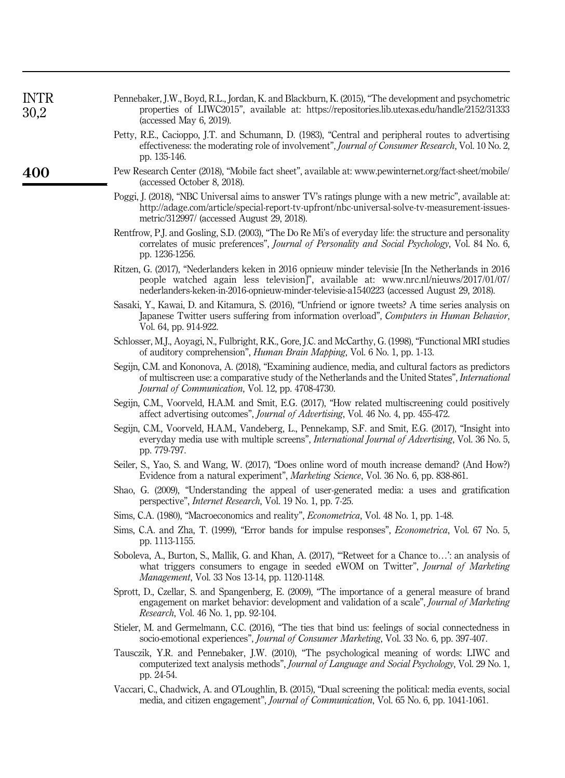| <b>INTR</b><br>30,2 | Pennebaker, J.W., Boyd, R.L., Jordan, K. and Blackburn, K. (2015), "The development and psychometric<br>properties of LIWC2015", available at: https://repositories.lib.utexas.edu/handle/2152/31333<br>(accessed May 6, 2019).                                                        |
|---------------------|----------------------------------------------------------------------------------------------------------------------------------------------------------------------------------------------------------------------------------------------------------------------------------------|
|                     | Petty, R.E., Cacioppo, J.T. and Schumann, D. (1983), "Central and peripheral routes to advertising<br>effectiveness: the moderating role of involvement", <i>Journal of Consumer Research</i> , Vol. 10 No. 2,<br>pp. 135-146.                                                         |
| 400                 | Pew Research Center (2018), "Mobile fact sheet", available at: www.pewinternet.org/fact-sheet/mobile/<br>(accessed October 8, 2018).                                                                                                                                                   |
|                     | Poggi, J. (2018), "NBC Universal aims to answer TV's ratings plunge with a new metric", available at:<br>http://adage.com/article/special-report-tv-upfront/nbc-universal-solve-tv-measurement-issues-<br>metric/312997/ (accessed August 29, 2018).                                   |
|                     | Rentfrow, P.J. and Gosling, S.D. (2003), "The Do Re Mi's of everyday life: the structure and personality<br>correlates of music preferences", Journal of Personality and Social Psychology, Vol. 84 No. 6,<br>pp. 1236-1256.                                                           |
|                     | Ritzen, G. (2017), "Nederlanders keken in 2016 opnieuw minder televisie [In the Netherlands in 2016<br>people watched again less television]", available at: www.nrc.nl/nieuws/2017/01/07/<br>nederlanders-keken-in-2016-opnieuw-minder-televisie-a1540223 (accessed August 29, 2018). |
|                     | Sasaki, Y., Kawai, D. and Kitamura, S. (2016), "Unfriend or ignore tweets? A time series analysis on<br>Japanese Twitter users suffering from information overload", Computers in Human Behavior,<br>Vol. 64, pp. 914-922.                                                             |
|                     | Schlosser, M.J., Aoyagi, N., Fulbright, R.K., Gore, J.C. and McCarthy, G. (1998), "Functional MRI studies<br>of auditory comprehension", <i>Human Brain Mapping</i> , Vol. 6 No. 1, pp. 1-13.                                                                                          |
|                     | Segijn, C.M. and Kononova, A. (2018), "Examining audience, media, and cultural factors as predictors<br>of multiscreen use: a comparative study of the Netherlands and the United States", <i>International</i><br><i>Journal of Communication, Vol. 12, pp. 4708-4730.</i>            |
|                     | Segijn, C.M., Voorveld, H.A.M. and Smit, E.G. (2017), "How related multiscreening could positively<br>affect advertising outcomes", <i>Journal of Advertising</i> , Vol. 46 No. 4, pp. 455-472.                                                                                        |
|                     | Segijn, C.M., Voorveld, H.A.M., Vandeberg, L., Pennekamp, S.F. and Smit, E.G. (2017), "Insight into<br>everyday media use with multiple screens", <i>International Journal of Advertising</i> , Vol. 36 No. 5,<br>pp. 779-797.                                                         |
|                     | Seiler, S., Yao, S. and Wang, W. (2017), "Does online word of mouth increase demand? (And How?)<br>Evidence from a natural experiment", Marketing Science, Vol. 36 No. 6, pp. 838-861.                                                                                                 |
|                     | Shao, G. (2009), "Understanding the appeal of user-generated media: a uses and gratification<br>perspective", <i>Internet Research</i> , Vol. 19 No. 1, pp. 7-25.                                                                                                                      |
|                     | Sims, C.A. (1980), "Macroeconomics and reality", <i>Econometrica</i> , Vol. 48 No. 1, pp. 1-48.                                                                                                                                                                                        |
|                     | Sims, C.A. and Zha, T. (1999), "Error bands for impulse responses", <i>Econometrica</i> , Vol. 67 No. 5,<br>pp. 1113-1155.                                                                                                                                                             |
|                     | Soboleva, A., Burton, S., Mallik, G. and Khan, A. (2017), "Retweet for a Chance to': an analysis of<br>what triggers consumers to engage in seeded eWOM on Twitter", Journal of Marketing<br>Management, Vol. 33 Nos 13-14, pp. 1120-1148.                                             |
|                     | Sprott, D., Czellar, S. and Spangenberg, E. (2009), "The importance of a general measure of brand<br>engagement on market behavior: development and validation of a scale", Journal of Marketing<br>Research, Vol. 46 No. 1, pp. 92-104.                                               |
|                     | Stieler, M. and Germelmann, C.C. (2016), "The ties that bind us: feelings of social connectedness in<br>socio-emotional experiences", Journal of Consumer Marketing, Vol. 33 No. 6, pp. 397-407.                                                                                       |
|                     | Tausczik, Y.R. and Pennebaker, J.W. (2010), "The psychological meaning of words: LIWC and<br>computerized text analysis methods", Journal of Language and Social Psychology, Vol. 29 No. 1,<br>pp. 24-54.                                                                              |
|                     | Vaccari, C., Chadwick, A. and O'Loughlin, B. (2015), "Dual screening the political: media events, social<br>media, and citizen engagement", Journal of Communication, Vol. 65 No. 6, pp. 1041-1061.                                                                                    |